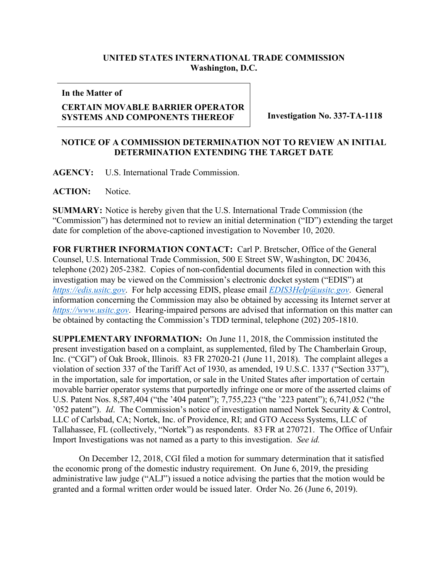## **UNITED STATES INTERNATIONAL TRADE COMMISSION Washington, D.C.**

**In the Matter of**

## **CERTAIN MOVABLE BARRIER OPERATOR SYSTEMS AND COMPONENTS THEREOF Investigation No. 337-TA-1118**

## **NOTICE OF A COMMISSION DETERMINATION NOT TO REVIEW AN INITIAL DETERMINATION EXTENDING THE TARGET DATE**

**AGENCY:** U.S. International Trade Commission.

ACTION: Notice.

**SUMMARY:** Notice is hereby given that the U.S. International Trade Commission (the "Commission") has determined not to review an initial determination ("ID") extending the target date for completion of the above-captioned investigation to November 10, 2020.

**FOR FURTHER INFORMATION CONTACT:** Carl P. Bretscher, Office of the General Counsel, U.S. International Trade Commission, 500 E Street SW, Washington, DC 20436, telephone (202) 205-2382. Copies of non-confidential documents filed in connection with this investigation may be viewed on the Commission's electronic docket system ("EDIS") at *[https://edis.usitc.gov](https://edis.usitc.gov/)*. For help accessing EDIS, please email *[EDIS3Help@usitc.gov](mailto:EDIS3Help@usitc.gov)*. General information concerning the Commission may also be obtained by accessing its Internet server at *[https://www.usitc.gov](https://www.usitc.gov/)*. Hearing-impaired persons are advised that information on this matter can be obtained by contacting the Commission's TDD terminal, telephone (202) 205-1810.

**SUPPLEMENTARY INFORMATION:** On June 11, 2018, the Commission instituted the present investigation based on a complaint, as supplemented, filed by The Chamberlain Group, Inc. ("CGI") of Oak Brook, Illinois. 83 FR 27020-21 (June 11, 2018). The complaint alleges a violation of section 337 of the Tariff Act of 1930, as amended, 19 U.S.C. 1337 ("Section 337"), in the importation, sale for importation, or sale in the United States after importation of certain movable barrier operator systems that purportedly infringe one or more of the asserted claims of U.S. Patent Nos. 8,587,404 ("the '404 patent"); 7,755,223 ("the '223 patent"); 6,741,052 ("the '052 patent"). *Id*. The Commission's notice of investigation named Nortek Security & Control, LLC of Carlsbad, CA; Nortek, Inc. of Providence, RI; and GTO Access Systems, LLC of Tallahassee, FL (collectively, "Nortek") as respondents. 83 FR at 270721. The Office of Unfair Import Investigations was not named as a party to this investigation. *See id.*

On December 12, 2018, CGI filed a motion for summary determination that it satisfied the economic prong of the domestic industry requirement. On June 6, 2019, the presiding administrative law judge ("ALJ") issued a notice advising the parties that the motion would be granted and a formal written order would be issued later. Order No. 26 (June 6, 2019).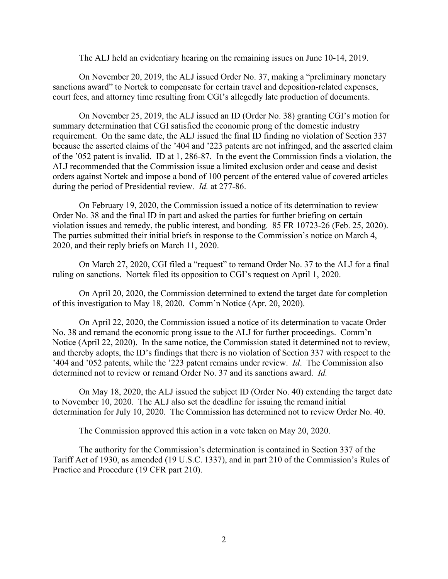The ALJ held an evidentiary hearing on the remaining issues on June 10-14, 2019.

On November 20, 2019, the ALJ issued Order No. 37, making a "preliminary monetary sanctions award" to Nortek to compensate for certain travel and deposition-related expenses, court fees, and attorney time resulting from CGI's allegedly late production of documents.

On November 25, 2019, the ALJ issued an ID (Order No. 38) granting CGI's motion for summary determination that CGI satisfied the economic prong of the domestic industry requirement. On the same date, the ALJ issued the final ID finding no violation of Section 337 because the asserted claims of the '404 and '223 patents are not infringed, and the asserted claim of the '052 patent is invalid. ID at 1, 286-87. In the event the Commission finds a violation, the ALJ recommended that the Commission issue a limited exclusion order and cease and desist orders against Nortek and impose a bond of 100 percent of the entered value of covered articles during the period of Presidential review. *Id.* at 277-86.

On February 19, 2020, the Commission issued a notice of its determination to review Order No. 38 and the final ID in part and asked the parties for further briefing on certain violation issues and remedy, the public interest, and bonding. 85 FR 10723-26 (Feb. 25, 2020). The parties submitted their initial briefs in response to the Commission's notice on March 4, 2020, and their reply briefs on March 11, 2020.

On March 27, 2020, CGI filed a "request" to remand Order No. 37 to the ALJ for a final ruling on sanctions. Nortek filed its opposition to CGI's request on April 1, 2020.

On April 20, 2020, the Commission determined to extend the target date for completion of this investigation to May 18, 2020. Comm'n Notice (Apr. 20, 2020).

On April 22, 2020, the Commission issued a notice of its determination to vacate Order No. 38 and remand the economic prong issue to the ALJ for further proceedings. Comm'n Notice (April 22, 2020). In the same notice, the Commission stated it determined not to review, and thereby adopts, the ID's findings that there is no violation of Section 337 with respect to the '404 and '052 patents, while the '223 patent remains under review. *Id*. The Commission also determined not to review or remand Order No. 37 and its sanctions award. *Id.*

On May 18, 2020, the ALJ issued the subject ID (Order No. 40) extending the target date to November 10, 2020. The ALJ also set the deadline for issuing the remand initial determination for July 10, 2020. The Commission has determined not to review Order No. 40.

The Commission approved this action in a vote taken on May 20, 2020.

The authority for the Commission's determination is contained in Section 337 of the Tariff Act of 1930, as amended (19 U.S.C. 1337), and in part 210 of the Commission's Rules of Practice and Procedure (19 CFR part 210).